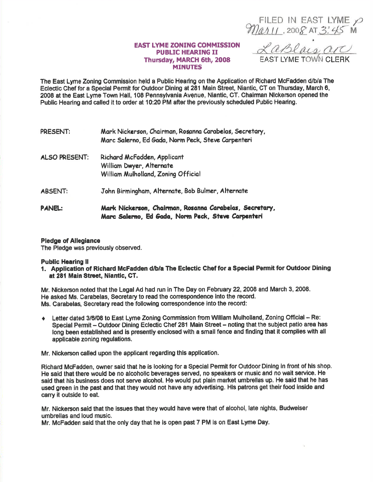FILED IN EAST LYME  $\varphi$ Mar<sub>11</sub>, 2008 AT 3:45 M

## EAST IYME ZONING COMMISSION PUBLIC HEARING II Thursday, MARCH 6th, 2008 MINUTES

EAST LYME TOWN CLERK

The East Lyme Zoning Commlssion held a Public Hearing on the Application of Rlchad McFadden d/b/a The Eclectic Chef for a Special Permit for Outdoor Dining at 281 Main Street, Niantic, CT on Thursday, March 6, 2008 at the East Lyme Town Hall, 108 Pennsylvania Avenue, Niantic, CT. Chairman Nickerson opened the Public Hearing and called it to order at 10:20 PM after the previously scheduled Public Hearing.

| PRESENT:       | Mark Nickerson, Chairman, Rosanna Carabelas, Secretary,<br>Marc Salerno, Ed Gada, Norm Peck, Steve Carpenteri |
|----------------|---------------------------------------------------------------------------------------------------------------|
| ALSO PRESENT:  | Richard McFadden, Applicant<br>William Dwyer, Alternate<br>William Mulholland, Zoning Official                |
| <b>ABSENT:</b> | John Birmingham, Alternate, Bob Bulmer, Alternate                                                             |
| <b>PANEL:</b>  | Mark Nickerson, Chairman, Rosanna Carabelas, Secretary,<br>Marc Salerno, Ed Gada, Norm Peck, Steve Carpenteri |

## Pledge of Allegiance

The Pledge was previously observed.

## Public Hearing ll

l. Application of Richard McFadden d/b/a The Eclectic Ghef for a Special Permit for Outdoor Dining at 281 Main Street, Niantic, CT.

Mr. Nickerson noted that the Legal Ad had run in The Day on February 22, 2008 and March 3, 2008. He asked Ms. Carabelas, Secretary to read the correspondence into the record. Ms. Carabelas, Secretary read the following conespondence into the recod:

 $\triangleq$  Letter dated 3/6/08 to East Lyme Zoning Commission from William Mulholland, Zoning Official -- Re: Special Permit - Outdoor Dining Eclectic Chef 281 Main Street - noting that the subject patio area has long been established and is presently enclosed with a small fence and finding that it complies with all applicable zoning regulations.

Mr. Nickerson called upon the applicant regarding this application.

Richard McFadden, owner said that he is looking for a Special Permit for Outdoor Dining in front of his shop. He said that thore would be no alcohollc beverages seryed, no speakers or music and no walt service. He said that his business does not serve alcohol. He would put plain market umbrellas up. He said that he has used green in the past and that they would not have any advertising. His patrons get their food inside and carry it outside to eat.

Mr. Nlckerson said that the issues that they would heve were that of alcohol, late nights, Budweiser umbrellas and loud music.

Mr. McFadden said that the only day that he ls open past 7 PM ls on East Lyme Day.